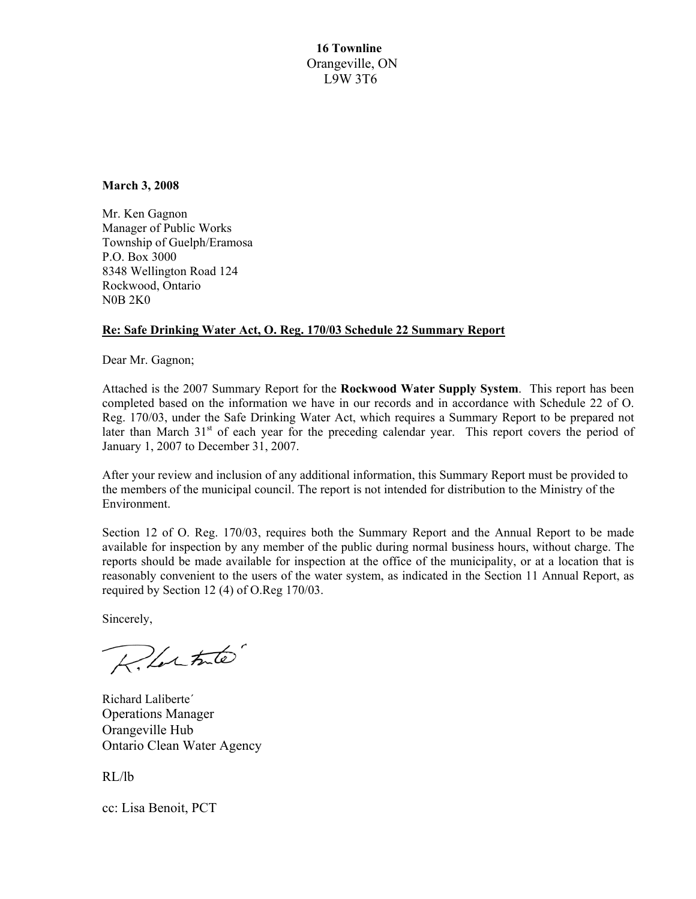**16 Townline**  Orangeville, ON L9W 3T6

**March 3, 2008** 

Mr. Ken Gagnon Manager of Public Works Township of Guelph/Eramosa P.O. Box 3000 8348 Wellington Road 124 Rockwood, Ontario N0B 2K0

## **Re: Safe Drinking Water Act, O. Reg. 170/03 Schedule 22 Summary Report**

Dear Mr. Gagnon;

Attached is the 2007 Summary Report for the **Rockwood Water Supply System**. This report has been completed based on the information we have in our records and in accordance with Schedule 22 of O. Reg. 170/03, under the Safe Drinking Water Act, which requires a Summary Report to be prepared not later than March 31<sup>st</sup> of each year for the preceding calendar year. This report covers the period of January 1, 2007 to December 31, 2007.

After your review and inclusion of any additional information, this Summary Report must be provided to the members of the municipal council. The report is not intended for distribution to the Ministry of the Environment.

Section 12 of O. Reg. 170/03, requires both the Summary Report and the Annual Report to be made available for inspection by any member of the public during normal business hours, without charge. The reports should be made available for inspection at the office of the municipality, or at a location that is reasonably convenient to the users of the water system, as indicated in the Section 11 Annual Report, as required by Section 12 (4) of O.Reg 170/03.

Sincerely,

Relative

Richard Laliberte´ Operations Manager Orangeville Hub Ontario Clean Water Agency

RL/lb

cc: Lisa Benoit, PCT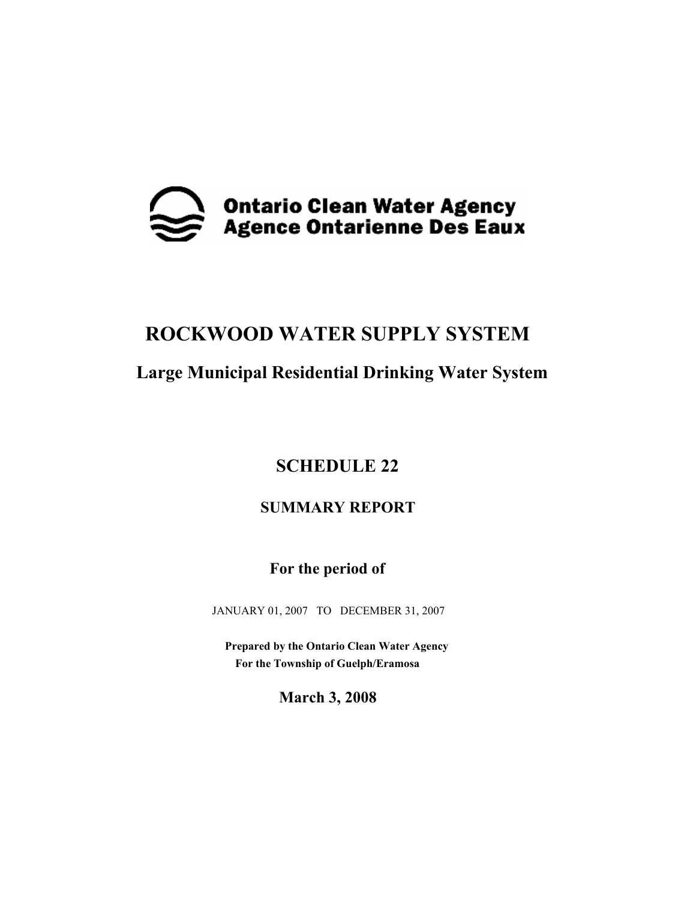

# **ROCKWOOD WATER SUPPLY SYSTEM**

# **Large Municipal Residential Drinking Water System**

# **SCHEDULE 22**

# **SUMMARY REPORT**

 **For the period of** 

JANUARY 01, 2007 TO DECEMBER 31, 2007

 **Prepared by the Ontario Clean Water Agency For the Township of Guelph/Eramosa** 

**March 3, 2008**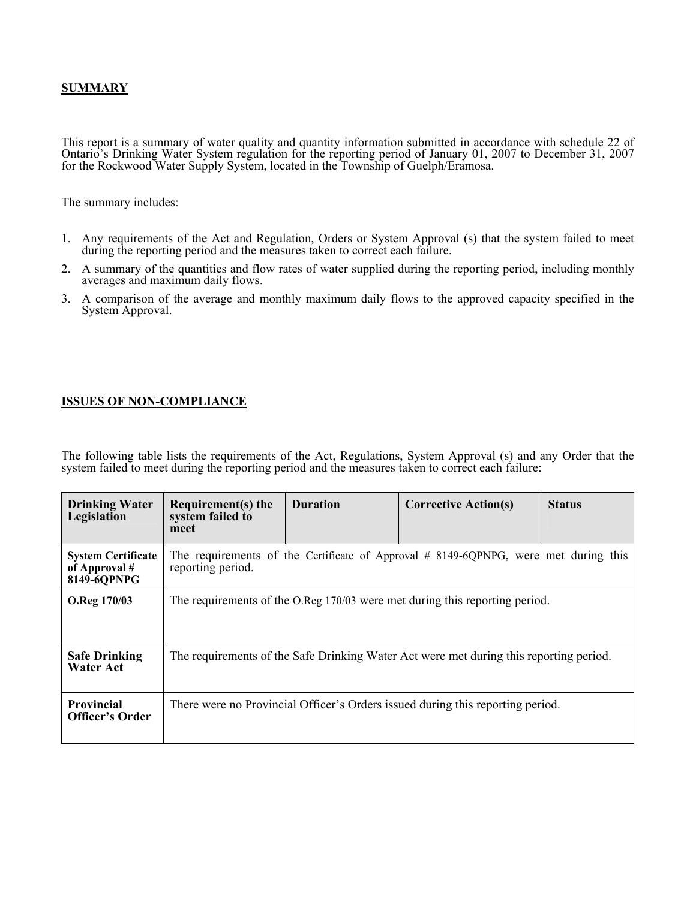### **SUMMARY**

This report is a summary of water quality and quantity information submitted in accordance with schedule 22 of Ontario's Drinking Water System regulation for the reporting period of January 01, 2007 to December 31, 2007 for the Rockwood Water Supply System, located in the Township of Guelph/Eramosa.

The summary includes:

- 1. Any requirements of the Act and Regulation, Orders or System Approval (s) that the system failed to meet during the reporting period and the measures taken to correct each failure.
- 2. A summary of the quantities and flow rates of water supplied during the reporting period, including monthly averages and maximum daily flows.
- 3. A comparison of the average and monthly maximum daily flows to the approved capacity specified in the System Approval.

#### **ISSUES OF NON-COMPLIANCE**

The following table lists the requirements of the Act, Regulations, System Approval (s) and any Order that the system failed to meet during the reporting period and the measures taken to correct each failure:

| <b>Drinking Water</b><br>Legislation                      | Requirement(s) the<br>system failed to<br>meet                                                           | <b>Duration</b> | <b>Corrective Action(s)</b>                                                    | <b>Status</b> |  |  |
|-----------------------------------------------------------|----------------------------------------------------------------------------------------------------------|-----------------|--------------------------------------------------------------------------------|---------------|--|--|
| <b>System Certificate</b><br>of Approval #<br>8149-6QPNPG | The requirements of the Certificate of Approval # 8149-6QPNPG, were met during this<br>reporting period. |                 |                                                                                |               |  |  |
| O.Reg 170/03                                              | The requirements of the O.Reg 170/03 were met during this reporting period.                              |                 |                                                                                |               |  |  |
| <b>Safe Drinking</b><br><b>Water Act</b>                  | The requirements of the Safe Drinking Water Act were met during this reporting period.                   |                 |                                                                                |               |  |  |
| <b>Provincial</b><br><b>Officer's Order</b>               |                                                                                                          |                 | There were no Provincial Officer's Orders issued during this reporting period. |               |  |  |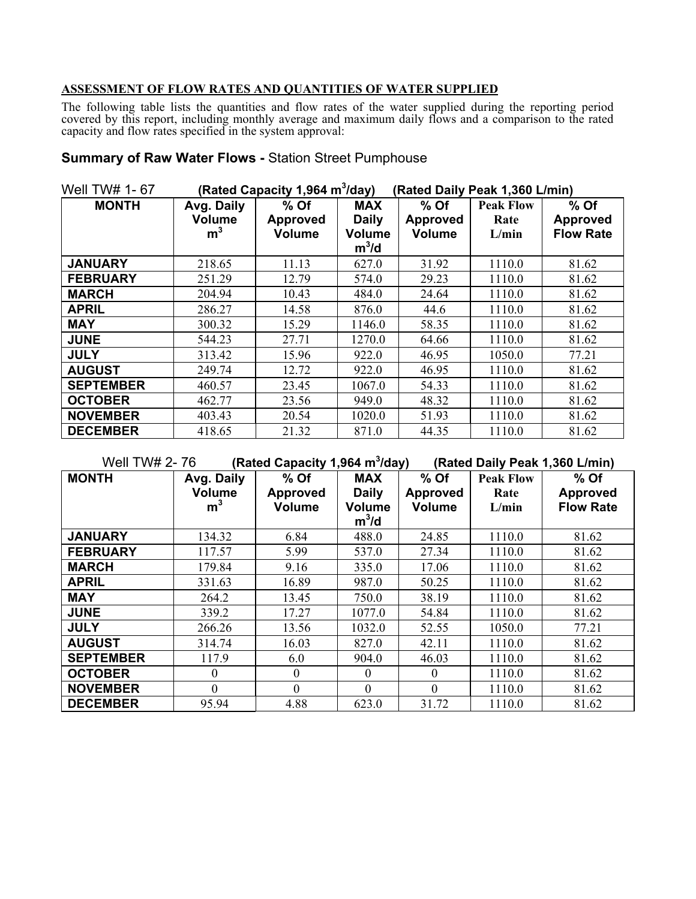### **ASSESSMENT OF FLOW RATES AND QUANTITIES OF WATER SUPPLIED**

The following table lists the quantities and flow rates of the water supplied during the reporting period covered by this report, including monthly average and maximum daily flows and a comparison to the rated capacity and flow rates specified in the system approval:

# **Summary of Raw Water Flows -** Station Street Pumphouse

| Well TW# 1-67    |                | (Rated Capacity 1,964 m <sup>3</sup> /day) |               | (Rated Daily Peak 1,360 L/min) |                  |                  |  |
|------------------|----------------|--------------------------------------------|---------------|--------------------------------|------------------|------------------|--|
| <b>MONTH</b>     | Avg. Daily     | $%$ Of                                     | <b>MAX</b>    | $%$ Of                         | <b>Peak Flow</b> | % Of             |  |
|                  | <b>Volume</b>  | <b>Approved</b>                            | <b>Daily</b>  | <b>Approved</b>                | Rate             | <b>Approved</b>  |  |
|                  | m <sup>3</sup> | <b>Volume</b>                              | <b>Volume</b> | Volume                         | L/min            | <b>Flow Rate</b> |  |
|                  |                |                                            | $m^3/d$       |                                |                  |                  |  |
| <b>JANUARY</b>   | 218.65         | 11.13                                      | 627.0         | 31.92                          | 1110.0           | 81.62            |  |
| <b>FEBRUARY</b>  | 251.29         | 12.79                                      | 574.0         | 29.23                          | 1110.0           | 81.62            |  |
| <b>MARCH</b>     | 204.94         | 10.43                                      | 484.0         | 24.64                          | 1110.0           | 81.62            |  |
| <b>APRIL</b>     | 286.27         | 14.58                                      | 876.0         | 44.6                           | 1110.0           | 81.62            |  |
| <b>MAY</b>       | 300.32         | 15.29                                      | 1146.0        | 58.35                          | 1110.0           | 81.62            |  |
| <b>JUNE</b>      | 544.23         | 27.71                                      | 1270.0        | 64.66                          | 1110.0           | 81.62            |  |
| <b>JULY</b>      | 313.42         | 15.96                                      | 922.0         | 46.95                          | 1050.0           | 77.21            |  |
| <b>AUGUST</b>    | 249.74         | 12.72                                      | 922.0         | 46.95                          | 1110.0           | 81.62            |  |
| <b>SEPTEMBER</b> | 460.57         | 23.45                                      | 1067.0        | 54.33                          | 1110.0           | 81.62            |  |
| <b>OCTOBER</b>   | 462.77         | 23.56                                      | 949.0         | 48.32                          | 1110.0           | 81.62            |  |
| <b>NOVEMBER</b>  | 403.43         | 20.54                                      | 1020.0        | 51.93                          | 1110.0           | 81.62            |  |
| <b>DECEMBER</b>  | 418.65         | 21.32                                      | 871.0         | 44.35                          | 1110.0           | 81.62            |  |

| (Rated Capacity 1,964 m <sup>3</sup> /day)<br>Well TW# 2-76<br>(Rated Daily Peak 1,360 L/min) |                                               |                                            |                                                        |                                          |                                   |                                               |
|-----------------------------------------------------------------------------------------------|-----------------------------------------------|--------------------------------------------|--------------------------------------------------------|------------------------------------------|-----------------------------------|-----------------------------------------------|
| <b>MONTH</b>                                                                                  | Avg. Daily<br><b>Volume</b><br>m <sup>3</sup> | $%$ Of<br><b>Approved</b><br><b>Volume</b> | <b>MAX</b><br><b>Daily</b><br><b>Volume</b><br>$m^3/d$ | % Of<br><b>Approved</b><br><b>Volume</b> | <b>Peak Flow</b><br>Rate<br>L/min | $%$ Of<br><b>Approved</b><br><b>Flow Rate</b> |
| <b>JANUARY</b>                                                                                | 134.32                                        | 6.84                                       | 488.0                                                  | 24.85                                    | 1110.0                            | 81.62                                         |
| <b>FEBRUARY</b>                                                                               | 117.57                                        | 5.99                                       | 537.0                                                  | 27.34                                    | 1110.0                            | 81.62                                         |
| <b>MARCH</b>                                                                                  | 179.84                                        | 9.16                                       | 335.0                                                  | 17.06                                    | 1110.0                            | 81.62                                         |
| <b>APRIL</b>                                                                                  | 331.63                                        | 16.89                                      | 987.0                                                  | 50.25                                    | 1110.0                            | 81.62                                         |
| <b>MAY</b>                                                                                    | 264.2                                         | 13.45                                      | 750.0                                                  | 38.19                                    | 1110.0                            | 81.62                                         |
| <b>JUNE</b>                                                                                   | 339.2                                         | 17.27                                      | 1077.0                                                 | 54.84                                    | 1110.0                            | 81.62                                         |
| <b>JULY</b>                                                                                   | 266.26                                        | 13.56                                      | 1032.0                                                 | 52.55                                    | 1050.0                            | 77.21                                         |
| <b>AUGUST</b>                                                                                 | 314.74                                        | 16.03                                      | 827.0                                                  | 42.11                                    | 1110.0                            | 81.62                                         |
| <b>SEPTEMBER</b>                                                                              | 117.9                                         | 6.0                                        | 904.0                                                  | 46.03                                    | 1110.0                            | 81.62                                         |
| <b>OCTOBER</b>                                                                                | $\theta$                                      | $\boldsymbol{0}$                           | $\overline{0}$                                         | $\boldsymbol{0}$                         | 1110.0                            | 81.62                                         |
| <b>NOVEMBER</b>                                                                               | $\Omega$                                      | $\mathbf{0}$                               | $\mathbf{0}$                                           | $\mathbf{0}$                             | 1110.0                            | 81.62                                         |
| <b>DECEMBER</b>                                                                               | 95.94                                         | 4.88                                       | 623.0                                                  | 31.72                                    | 1110.0                            | 81.62                                         |